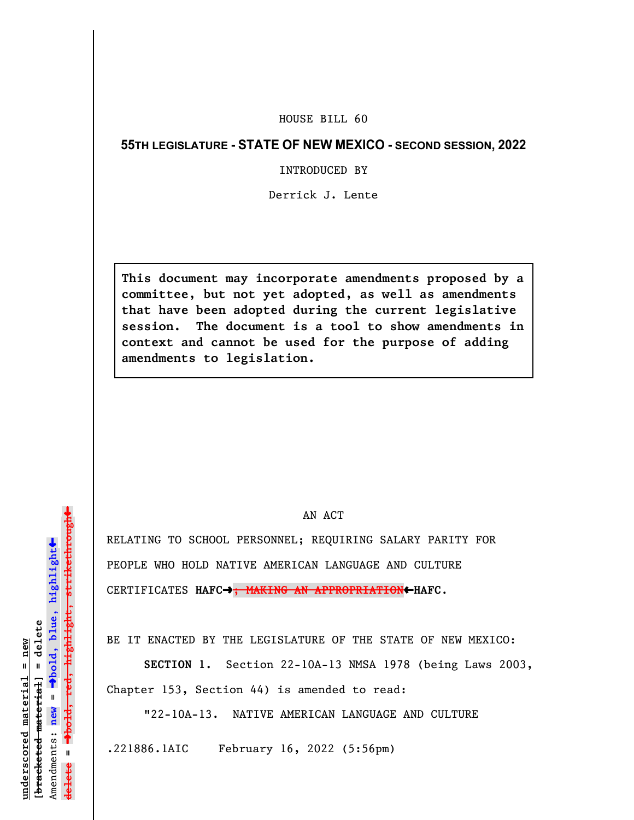## HOUSE BILL 60

## **55TH LEGISLATURE - STATE OF NEW MEXICO - SECOND SESSION, 2022**

## INTRODUCED BY

Derrick J. Lente

**This document may incorporate amendments proposed by a committee, but not yet adopted, as well as amendments that have been adopted during the current legislative session. The document is a tool to show amendments in context and cannot be used for the purpose of adding amendments to legislation.**

## AN ACT

RELATING TO SCHOOL PERSONNEL; REQUIRING SALARY PARITY FOR PEOPLE WHO HOLD NATIVE AMERICAN LANGUAGE AND CULTURE CERTIFICATES **HAFC**º**; MAKING AN APPROPRIATION**»**HAFC**.

BE IT ENACTED BY THE LEGISLATURE OF THE STATE OF NEW MEXICO:

**SECTION 1.** Section 22-10A-13 NMSA 1978 (being Laws 2003, Chapter 153, Section 44) is amended to read:

"22-10A-13. NATIVE AMERICAN LANGUAGE AND CULTURE

.221886.1AIC February 16, 2022 (5:56pm)

»º**bold, red, highlight, strikethrough** highlight, strikethrou  $\ddot{\bullet}$ º**bold, blue, highlight**  $b$ racketed material] = delete **[bracketed material] = delete** inderscored material = new **underscored material = new** Amendments: new = Amendments: **new** =  $\mathbf{u}$ **delete =** lelete